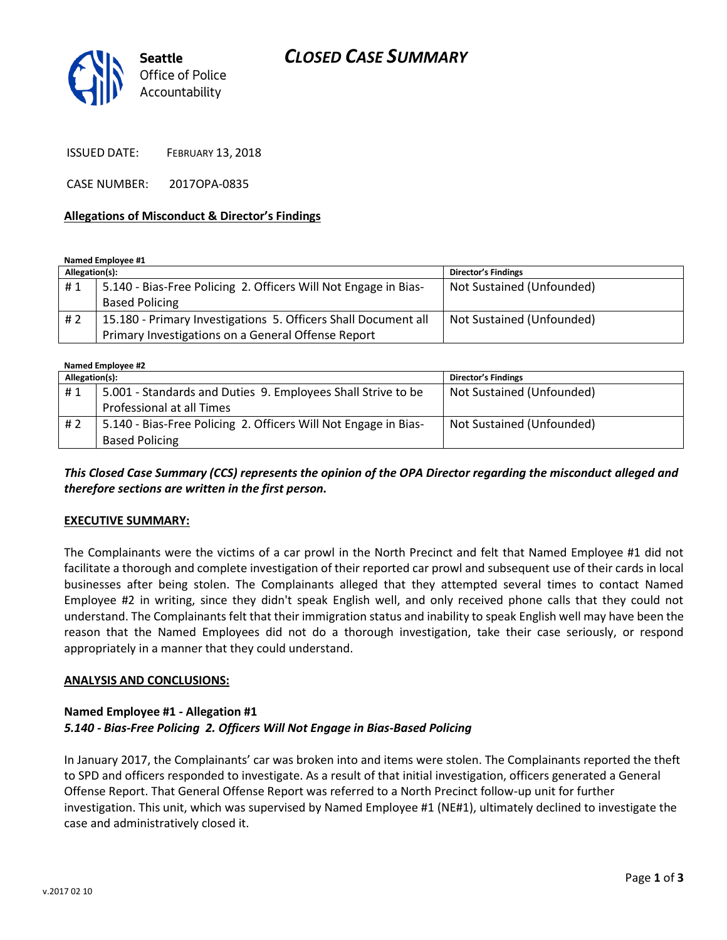# *CLOSED CASE SUMMARY*



ISSUED DATE: FEBRUARY 13, 2018

CASE NUMBER: 2017OPA-0835

#### **Allegations of Misconduct & Director's Findings**

**Named Employee #1**

| Allegation(s): |                                                                 | Director's Findings       |
|----------------|-----------------------------------------------------------------|---------------------------|
| #1             | 5.140 - Bias-Free Policing 2. Officers Will Not Engage in Bias- | Not Sustained (Unfounded) |
|                | <b>Based Policing</b>                                           |                           |
| #2             | 15.180 - Primary Investigations 5. Officers Shall Document all  | Not Sustained (Unfounded) |
|                | Primary Investigations on a General Offense Report              |                           |

**Named Employee #2**

| Allegation(s): |                                                                 | <b>Director's Findings</b> |  |
|----------------|-----------------------------------------------------------------|----------------------------|--|
| #1             | 5.001 - Standards and Duties 9. Employees Shall Strive to be    | Not Sustained (Unfounded)  |  |
|                | Professional at all Times                                       |                            |  |
| # 2            | 5.140 - Bias-Free Policing 2. Officers Will Not Engage in Bias- | Not Sustained (Unfounded)  |  |
|                | <b>Based Policing</b>                                           |                            |  |

*This Closed Case Summary (CCS) represents the opinion of the OPA Director regarding the misconduct alleged and therefore sections are written in the first person.* 

#### **EXECUTIVE SUMMARY:**

The Complainants were the victims of a car prowl in the North Precinct and felt that Named Employee #1 did not facilitate a thorough and complete investigation of their reported car prowl and subsequent use of their cards in local businesses after being stolen. The Complainants alleged that they attempted several times to contact Named Employee #2 in writing, since they didn't speak English well, and only received phone calls that they could not understand. The Complainants felt that their immigration status and inability to speak English well may have been the reason that the Named Employees did not do a thorough investigation, take their case seriously, or respond appropriately in a manner that they could understand.

#### **ANALYSIS AND CONCLUSIONS:**

### **Named Employee #1 - Allegation #1** *5.140 - Bias-Free Policing 2. Officers Will Not Engage in Bias-Based Policing*

In January 2017, the Complainants' car was broken into and items were stolen. The Complainants reported the theft to SPD and officers responded to investigate. As a result of that initial investigation, officers generated a General Offense Report. That General Offense Report was referred to a North Precinct follow-up unit for further investigation. This unit, which was supervised by Named Employee #1 (NE#1), ultimately declined to investigate the case and administratively closed it.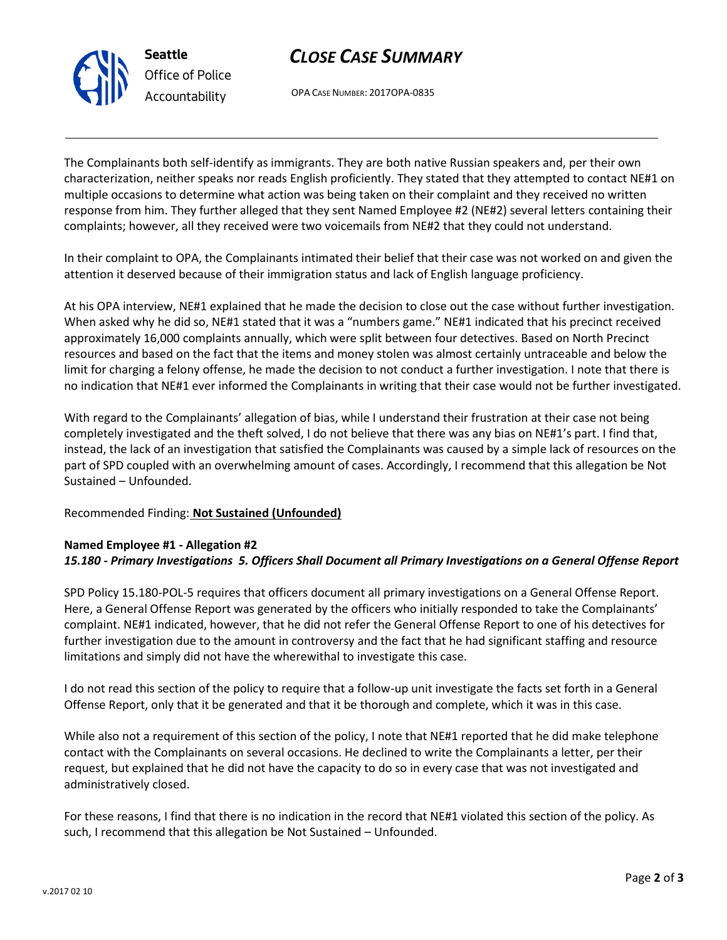

# *CLOSE CASE SUMMARY*

OPA CASE NUMBER: 2017OPA-0835

The Complainants both self-identify as immigrants. They are both native Russian speakers and, per their own characterization, neither speaks nor reads English proficiently. They stated that they attempted to contact NE#1 on multiple occasions to determine what action was being taken on their complaint and they received no written response from him. They further alleged that they sent Named Employee #2 (NE#2) several letters containing their complaints; however, all they received were two voicemails from NE#2 that they could not understand.

In their complaint to OPA, the Complainants intimated their belief that their case was not worked on and given the attention it deserved because of their immigration status and lack of English language proficiency.

At his OPA interview, NE#1 explained that he made the decision to close out the case without further investigation. When asked why he did so, NE#1 stated that it was a "numbers game." NE#1 indicated that his precinct received approximately 16,000 complaints annually, which were split between four detectives. Based on North Precinct resources and based on the fact that the items and money stolen was almost certainly untraceable and below the limit for charging a felony offense, he made the decision to not conduct a further investigation. I note that there is no indication that NE#1 ever informed the Complainants in writing that their case would not be further investigated.

With regard to the Complainants' allegation of bias, while I understand their frustration at their case not being completely investigated and the theft solved, I do not believe that there was any bias on NE#1's part. I find that, instead, the lack of an investigation that satisfied the Complainants was caused by a simple lack of resources on the part of SPD coupled with an overwhelming amount of cases. Accordingly, I recommend that this allegation be Not Sustained – Unfounded.

### Recommended Finding: **Not Sustained (Unfounded)**

### **Named Employee #1 - Allegation #2** *15.180 - Primary Investigations 5. Officers Shall Document all Primary Investigations on a General Offense Report*

SPD Policy 15.180-POL-5 requires that officers document all primary investigations on a General Offense Report. Here, a General Offense Report was generated by the officers who initially responded to take the Complainants' complaint. NE#1 indicated, however, that he did not refer the General Offense Report to one of his detectives for further investigation due to the amount in controversy and the fact that he had significant staffing and resource limitations and simply did not have the wherewithal to investigate this case.

I do not read this section of the policy to require that a follow-up unit investigate the facts set forth in a General Offense Report, only that it be generated and that it be thorough and complete, which it was in this case.

While also not a requirement of this section of the policy, I note that NE#1 reported that he did make telephone contact with the Complainants on several occasions. He declined to write the Complainants a letter, per their request, but explained that he did not have the capacity to do so in every case that was not investigated and administratively closed.

For these reasons, I find that there is no indication in the record that NE#1 violated this section of the policy. As such, I recommend that this allegation be Not Sustained – Unfounded.